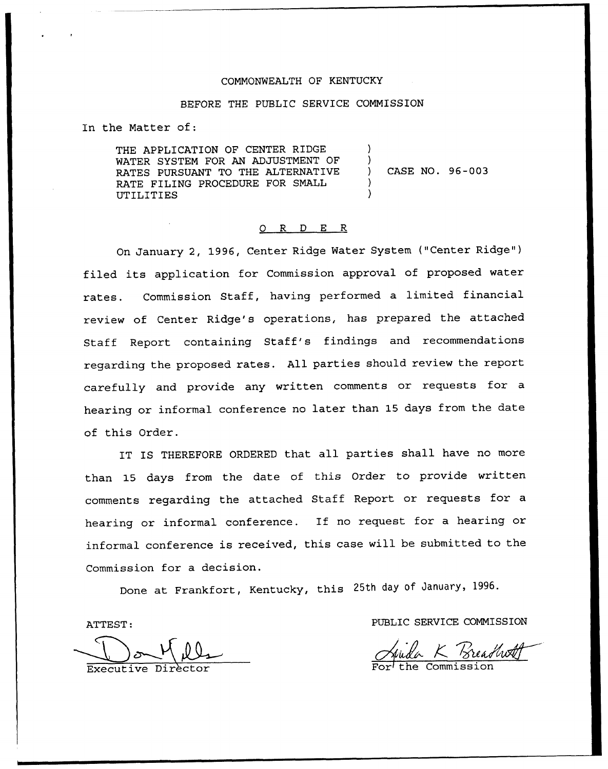# COMMONWEALTH OF KENTUCKY

### BEFORE THE PUBLIC SERVICE COMMISSION

In the Matter of:

THE APPLICATION OF CENTER RIDGE WATER SYSTEM FOR AN ADJUSTMENT OF RATES PURSUANT TO THE ALTERNATIVE RATE FILING PROCEDURE FOR SMALL UTILITIES

) CASE NO. 96-003

) )

) )

# 0 R <sup>D</sup> E R

On January 2, 1996, Center Ridge Water System {"Center Ridge" ) filed its application for Commission approval of proposed water rates. Commission Staff, having performed <sup>a</sup> limited financial review of Center Ridge's operations, has prepared the attached Staff Report containing Staff's findings and recommendations regarding the proposed rates. All parties should review the report carefully and provide any written comments or requests for <sup>a</sup> hearing or informal conference no later than 15 days from the date of this Order.

IT IS THEREFORE ORDERED that all parties shall have no more than 15 days from the date of this Order to provide written comments regarding the attached Staff Report or requests for a hearing or informal conference. If no request for a hearing or informal conference is received, this case will be submitted to the Commission for a decision.

Done at Frankfort, Kentucky, this 25th day of January, 1996.

ATTEST:

Executive Director

PUBLIC SERVICE COMMISSION

K Breadwatt

For the Commission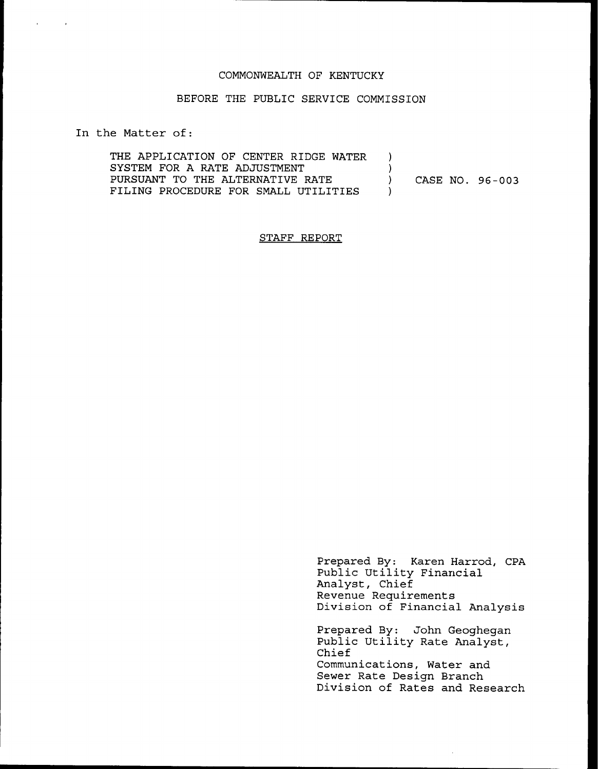#### COMMONWEALTH OF KENTUCKY

### BEFORE THE PUBLIC SERVICE COMMISSION

In the Matter of:

| THE APPLICATION OF CENTER RIDGE WATER |                 |
|---------------------------------------|-----------------|
| SYSTEM FOR A RATE ADJUSTMENT          |                 |
| PURSUANT TO THE ALTERNATIVE RATE      | CASE NO. 96-003 |
| FILING PROCEDURE FOR SMALL UTILITIES  |                 |

## STAFF REPORT

Prepared By: Karen Harrod, CPA Public Utility Financia Analyst, Chief Revenue Requirements Division of Financial Analysis Prepared By: John Geoghegan

Public Utility Rate Analyst, Chief Communications, Water and Sewer Rate Design Branch Division of Rates and Research

 $\mathcal{L}^{\pm}$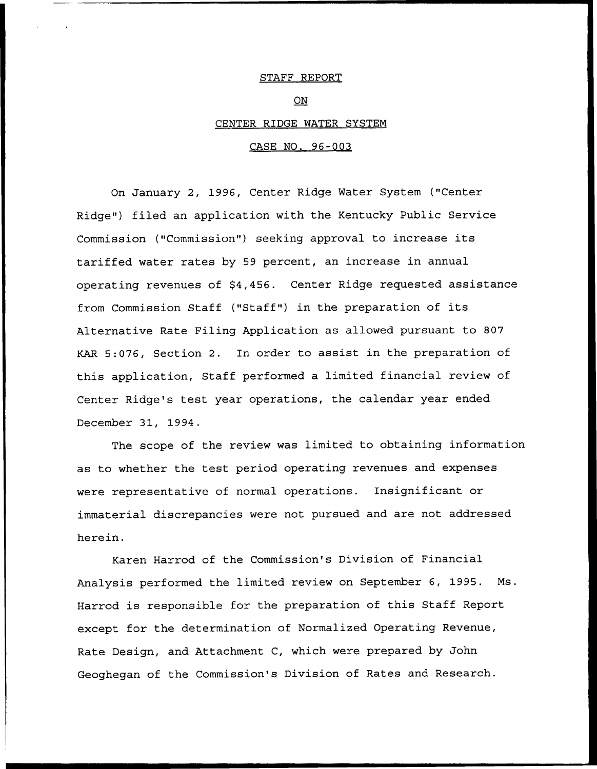### STAFF REPORT

ON

#### CENTER RIDGE WATER SYSTEM

#### CASE NO. 96-003

On January 2, 1996, Center Ridge Water System ("Center Ridge") filed an application with the Kentucky Public Service Commission ("Commission") seeking approval to increase its tariffed water rates by 59 percent, an increase in annual operating revenues of \$4,456. Center Ridge requested assistance from Commission Staff ("Staff") in the preparation of its Alternative Rate Filing Application as allowed pursuant to 807 KAR 5:076, Section 2. In order to assist in the preparation of this application, Staff performed a limited financial review of Center Ridge's test year operations, the calendar year ended December 31, 1994.

The scope of the review was limited to obtaining information as to whether the test period operating revenues and expenses were representative of normal operations. Insignificant or immaterial discrepancies were not pursued and are not addressed herein.

Karen Harrod of the Commission's Division of Financial Analysis performed the limited review on September 6, 1995. Ns. Harrod is responsible for the preparation of this Staff Report except for the determination of Normalized Operating Revenue, Rate Design, and Attachment C, which were prepared by John Geoghegan of the Commission's Division of Rates and Research.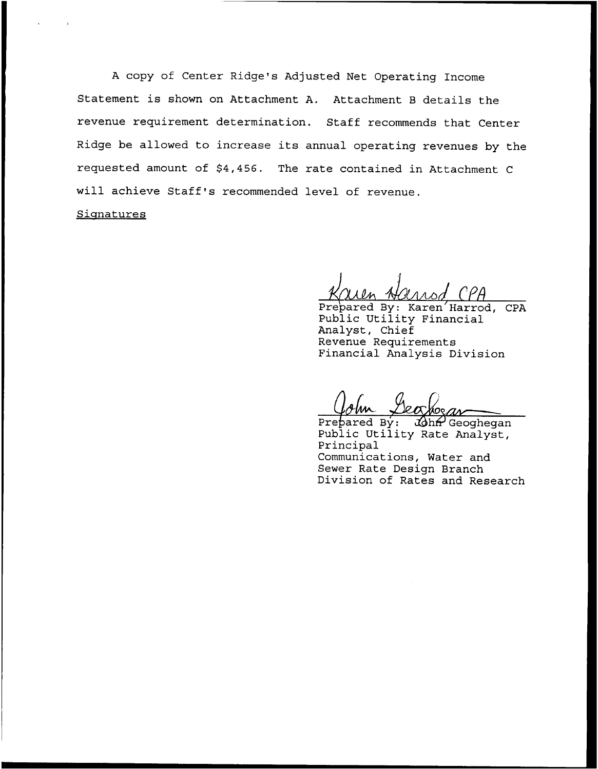<sup>A</sup> copy of Center Ridge's Adjusted Net Operating Income Statement is shown on Attachment A. Attachment <sup>B</sup> details the revenue requirement determination. Staff recommends that Center Ridge be allowed to increase its annual operating revenues by the requested amount of \$4,456. The rate contained in Attachment <sup>C</sup> will achieve Staff's recommended level of revenue. Signatures

Prepared By: Karen Harrod, CPA Public Utility Financial Analyst, Chief Revenue Requirements Financial Analysis Division

Prepared By:  $3\phi$ ha Geoghegan Public Utility Rate Analyst, Principal Communications, Water and Sewer Rate Design Branch Division of Rates and Research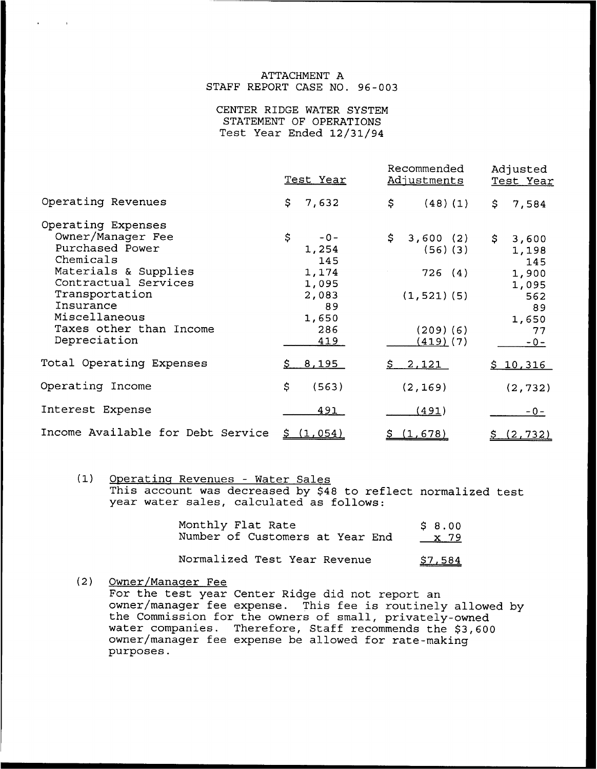## ATTACHMENT A STAFF REPORT CASE NO. 96-003

CENTER RIDGE WATER SYSTEM STATEMENT OF OPERATIONS Test Year Ended 12/31/94

|                                                                                                                                                        | Test Year                                                    | Recommended<br><u>Adjustments</u>                          | Adjusted<br>Test Year                                 |  |
|--------------------------------------------------------------------------------------------------------------------------------------------------------|--------------------------------------------------------------|------------------------------------------------------------|-------------------------------------------------------|--|
| Operating Revenues                                                                                                                                     | \$.<br>7,632                                                 | \$<br>(48)(1)                                              | \$.<br>7,584                                          |  |
| Operating Expenses<br>Owner/Manager Fee<br>Purchased Power<br>Chemicals<br>Materials & Supplies<br>Contractual Services<br>Transportation<br>Insurance | \$<br>$-0-$<br>1,254<br>145<br>1,174<br>1,095<br>2,083<br>89 | \$<br>3,600(2)<br>$(56)$ $(3)$<br>726(4)<br>$(1, 521)$ (5) | \$.<br>3,600<br>1,198<br>145<br>1,900<br>1,095<br>562 |  |
| Miscellaneous<br>Taxes other than Income<br>Depreciation                                                                                               | 1,650<br>286<br>419                                          | $(209)$ (6)<br>$(419)$ (7)                                 | 89<br>1,650<br>77<br>$-0-$                            |  |
| Total Operating Expenses                                                                                                                               | \$8,195                                                      | <u>2,121  </u><br>S.                                       | <u>\$10,316</u>                                       |  |
| Operating Income                                                                                                                                       | \$<br>(563)                                                  | (2, 169)                                                   | (2, 732)                                              |  |
| Interest Expense                                                                                                                                       | 491                                                          | <u>(491)</u>                                               | $-0-$                                                 |  |
| Income Available for Debt Service                                                                                                                      | 5(1,054)                                                     | (1,678)                                                    | (2, 732)                                              |  |

(1) Operating Revenues - Water Sales This account was decreased by \$48 to reflect normalized test year water sales, calculated as follows:

| Monthly Flat Rate               | \$8.00      |
|---------------------------------|-------------|
| Number of Customers at Year End | <u>x</u> 79 |
| Normalized Test Year Revenue    | \$7,584     |

(2) Owner/Manager Fee

For the test year Center Ridge did not report an owner/manager fee expense. This fee is routinely allowed by the Commission for the owners of small, privately-owned water companies. Therefore, Staff recommends the \$3,600 owner/manager fee expense be allowed for rate-making purposes.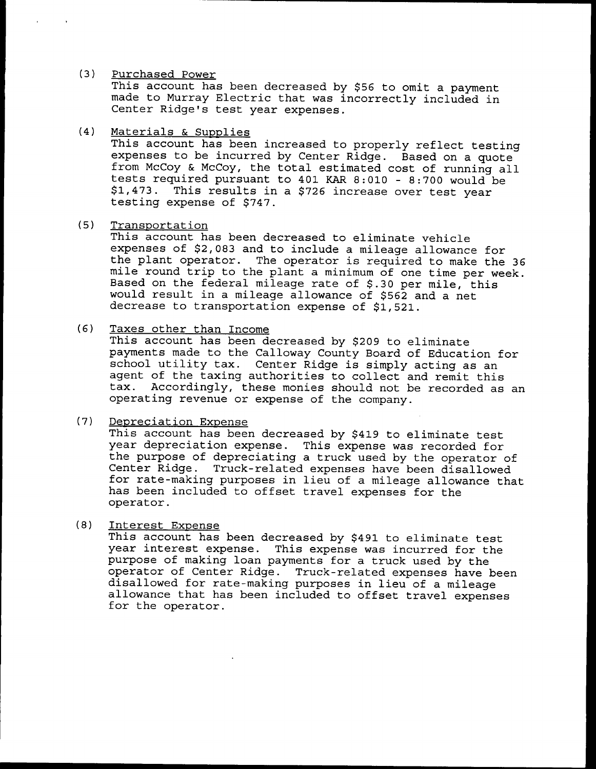#### $(3)$ Purchased Power

This account has been decreased by \$56 to omit a payment made to Murray Electric that was incorrectly included in Center Ridge's test year expenses.

 $(4)$ Materials & Supplies

This account has been increased to properly reflect testing expenses to be incurred by Center Ridge. Based on a quote from McCoy & McCoy, the total estimated cost of running all tests required pursuant to 401 KAR 8:010 - 8:700 would be<br>\$1.473. This results in a \$726 increase over test year \$1,473. This results in a \$726 increase over test year<br>testing expense of \$747.

 $(5)$ Transoortation

This account has been decreased to eliminate vehicle<br>expenses of \$2,083 and to include a mileage allowance for the plant operator. The operator is required to make the 36 mile round trip to the plant a minimum of one time per week. Based on the federal mileage rate of \$.30 per mile, this would result in a mileage allowance of \$562 and a net decrease to transportation expense of \$1,521.

#### $(6)$ Taxes other than Income

This account has been decreased by \$209 to eliminate payments made to the Calloway County Board of Education for school utility tax. Center Ridge is simply acting as an agent of the taxing authorities to collect and remit this tax. Accordingly, these monies should not be recorded as an operating revenue or expense of the company.

#### $(7)$ Depreciation Expense

This account has been decreased by \$419 to eliminate test<br>year depreciation expense. This expense was recorded for the purpose of depreciating a truck used by the operator of<br>Center Ridge. Truck-related expenses have been disallowed<br>for rate-making purposes in lieu of a mileage allowance that has been included to offset travel expenses for the operator.

#### $(8)$ Interest Expense

This account has been decreased by \$491 to eliminate test year interest expense. This expense was incurred for the purpose of making loan payments for a truck used by the operator of Center Ridge. Truck-related expenses have been disallowed for rate-making purposes in lieu of a mileage allowance that has been included to offset travel expenses for the operator.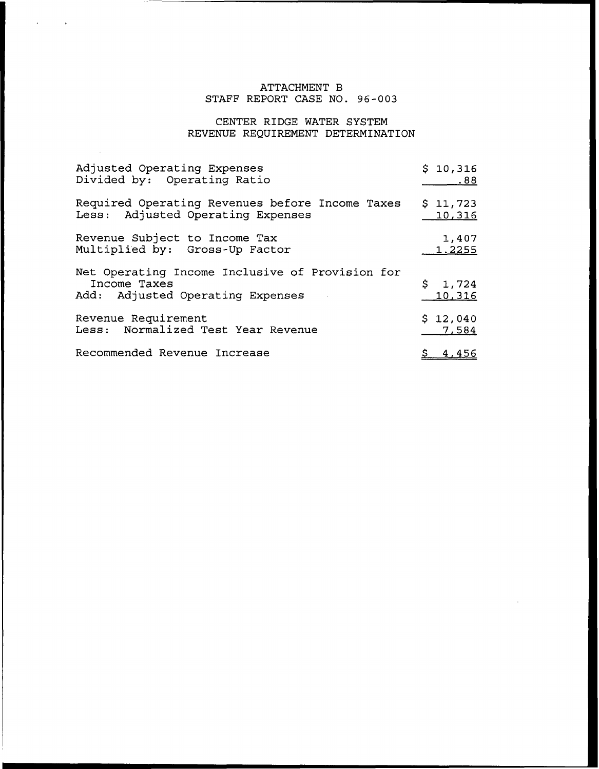# ATTACHMENT B STAFF REPORT CASE NO. 96-003

# CENTER RIDGE WATER SYSTEM REVENUE REQUIREMENT DETERMINATION

| Adjusted Operating Expenses                                                                         | \$10,316               |
|-----------------------------------------------------------------------------------------------------|------------------------|
| Divided by: Operating Ratio                                                                         | .88.                   |
| Required Operating Revenues before Income Taxes                                                     | \$11,723               |
| Less: Adjusted Operating Expenses                                                                   | <u> 10,316</u>         |
| Revenue Subject to Income Tax                                                                       | 1,407                  |
| Multiplied by: Gross-Up Factor                                                                      | 1.2255                 |
| Net Operating Income Inclusive of Provision for<br>Income Taxes<br>Add: Adjusted Operating Expenses | $5 \t1, 724$<br>10,316 |
| Revenue Requirement                                                                                 | \$12,040               |
| Less: Normalized Test Year Revenue                                                                  | 7,584                  |
| Recommended Revenue Increase                                                                        | \$4,456                |